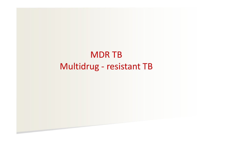# MDR TB Multidrug ‐ resistant TB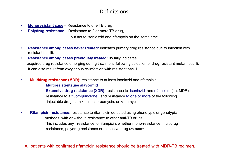#### Definitsions

- •**Monoresistant case** – Resistance to one TB drug
- •**Polydrug resistance** – Resistance to 2 or more TB drug,

but not to isoniaszid and rifampcin on the same time

- • **Resistance among cases never treated:** indicates primary drug resistance due to infection with resistant bacilli.
- • **Resistance among cases previously treated:** usually indicates acquired drug resistance emerging during treatment following selection of drug-resistant mutant bacilli. It can also result from exogenous re-infection with resistant bacilli
- • **Multidrug resistance (MDR):** resistance to at least isoniazid and rifampicin **Multiresistentsuse alavormid Extensive drug resistance (XDR):** resistance to isoniazid and rifampicin (i.e. MDR), resistance to a fluoroquinolone, and resistance to one or more of the following injectable drugs: amikacin, capreomycin, or kanamycin
- $\mathcal{L}_{\rm{max}}$  **Rifampicin resistance:** resistance to rifampicin detected using phenotypic or genotypic methods, with or without resistance to other anti-TB drugs. This includes any resistance to rifampicin, whether mono-resistance, multidrug resistance, polydrug resistance or extensive drug resistance.

All patients with confirmed rifampicin resistance should be treated with MDR-TB regimen.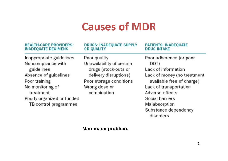# **Causes of MDR**

| <b>HEALTH-CARE PROVIDERS:</b><br><b>INADEQUATE REGIMENS</b> | <b>DRUGS: INADEQUATE SUPPLY</b><br><b>OR QUALITY</b> | <b>PATIENTS: INADEQUATE</b><br><b>DRUG INTAKE</b> |
|-------------------------------------------------------------|------------------------------------------------------|---------------------------------------------------|
| Inappropriate guidelines                                    | Poor quality                                         | Poor adherence (or poor                           |
| Noncompliance with                                          | Unavailability of certain                            | DOT)                                              |
| guidelines                                                  | drugs (stock-outs or                                 | Lack of information                               |
| Absence of guidelines                                       | delivery disruptions)                                | Lack of money (no treatment                       |
| Poor training                                               | Poor storage conditions                              | available free of charge)                         |
| No monitoring of                                            | Wrong dose or                                        | Lack of transportation                            |
| treatment                                                   | combination                                          | Adverse effects                                   |
| Poorly organized or funded                                  |                                                      | Social barriers                                   |
| TB control programmes                                       |                                                      | Malabsorption                                     |
|                                                             |                                                      | Substance dependency<br>disorders                 |

#### **Man-made problem.**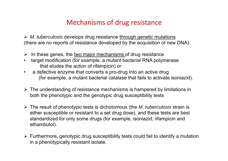## Mechanisms of drug resistance

 *M. tuberculosis* develops drug resistance through genetic mutations (there are no reports of resistance developed by the acquisition of new DNA).

- $\blacktriangleright$ In these genes, the two major mechanisms of drug resistance
- • target modification (for example, a mutant bacterial RNA polymerase that eludes the action of rifampicin) or
- • a defective enzyme that converts a pro-drug into an active drug (for example, a mutant bacterial catalase that fails to activate isoniazid).
- $\triangleright$  The understanding of resistance mechanisms is hampered by limitations in both the phenotypic and the genotypic drug susceptibility tests
- The result of phenotypic tests is dichotomous (the *M. tuberculosis* strain is either susceptible or resistant to a set drug dose), and these tests are best standardized for only some drugs (for example, isoniazid, rifampicin and ethambutol).
- $\triangleright$  Furthermore, genotypic drug susceptibility tests could fail to identify a mutation in a phenotypically resistant isolate.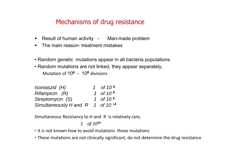## Mechanisms of drug resistance

- Result of human activity Man-made problem
- The main reason- treatment mistakes
- Random genetic mutations appear in all bacteria populations.
- Random mutations are not linked, they appear separately, Mutation of 10**<sup>6</sup>** - 10**<sup>8</sup>** divisions

| Isoniaszid (H)         | 1 of 10 $^6$ |
|------------------------|--------------|
| Rifampicin (R)         | 1 of 10 $8$  |
| Streptomycin (S)       | 1 of 10 $^6$ |
| Simultaneously H and R | 1 of 10 $14$ |

Simultaneous Resistancy to H and R is relatively rare,

*1 of 10<sup>14</sup>*

- it is not known how to avoid mutations those mutations
- These mutations are not clinically significant, do not determine the drug resistance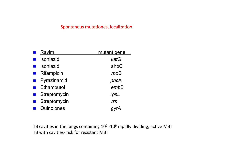#### Spontaneus mutationes, localization

| Ravim     |              | mutant gene |
|-----------|--------------|-------------|
| isoniazid |              | katG        |
| isoniazid |              | ahpC        |
|           | Rifampicin   | rpoB        |
|           | Pyrazinamid  | pncA        |
|           | Ethambutol   | embB        |
|           | Streptomycin | rpsL        |
|           | Streptomycin | rrs         |
|           | Quinolones   |             |

TB cavities in the lungs containing  $10^7$  -10<sup>9</sup> rapidly dividing, active MBT TB with cavities‐ risk for resistant MBT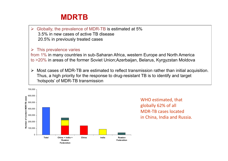## **MDRTB**

 $\blacktriangleright$  Globally, the prevalence of MDR-TB is estimated at 5% 3.5% in new cases of active TB disease 20.5% in previously treated cases

#### $\blacktriangleright$ This prevalence varies

from 1% in many countries in sub-Saharan Africa, western Europe and North America to >20% in areas of the former Soviet Union;Azerbaijan, Belarus, Kyrgyzstan Moldova

 $\blacktriangleright$  Most cases of MDR-TB are estimated to reflect transmission rather than initial acquisition. Thus, a high priority for the response to drug-resistant TB is to identify and target 'hotspots' of MDR-TB transmission

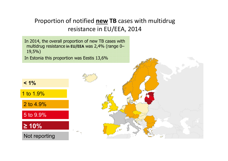## Proportion of notified **new TB** cases with multidrug resistance in EU/EEA, 2014

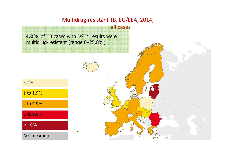## Multidrug‐resistant TB, EU/EEA, 2014,

all cases

**4.0%** of TB cases with DST\* results were multidrug-resistant (range 0–25.8%)



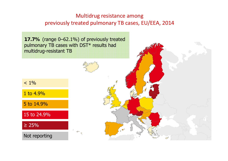## Multidrug resistance among previously treated pulmonary TB cases, EU/EEA, 2014

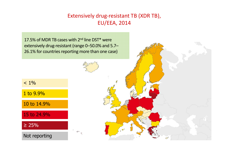## Extensively drug‐resistant TB (XDR TB), EU/EEA, 2014